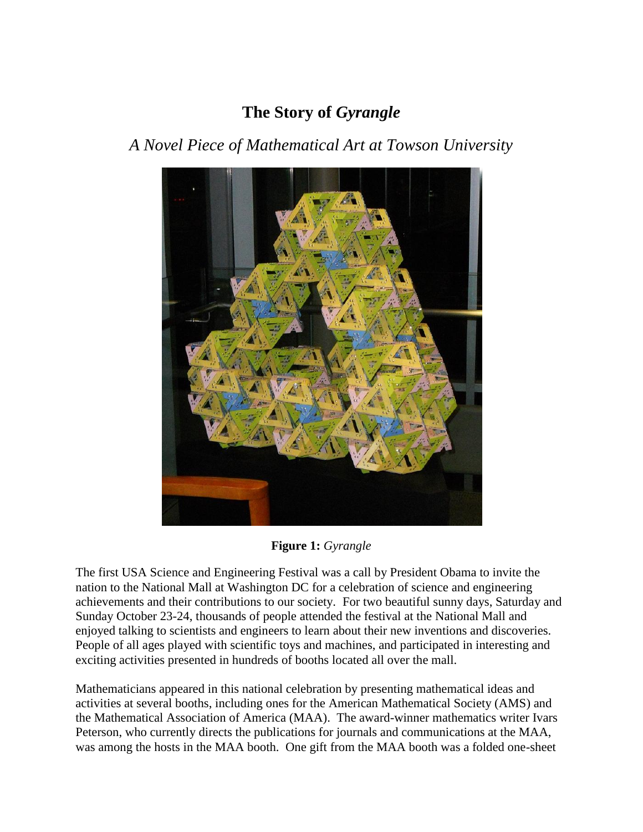## **The Story of** *Gyrangle*

## *A Novel Piece of Mathematical Art at Towson University*



**Figure 1:** *Gyrangle*

The first [USA Science and Engineering Festival w](javascript:%20void(0);)as a call by President Obama to invite the nation to the National Mall at Washington DC for a celebration of science and engineering achievements and their contributions to our society. For two beautiful sunny days, Saturday and Sunday October 23-24, thousands of people attended the festival at the National Mall and enjoyed talking to scientists and engineers to learn about their new inventions and discoveries. People of all ages played with scientific toys and machines, and participated in interesting and exciting activities presented in hundreds of booths located all over the mall.

Mathematicians appeared in this national celebration by presenting mathematical ideas and activities at several booths, including ones for the American Mathematical Society (AMS) and the Mathematical Association of America (MAA). The award-winner mathematics writer Ivars Peterson, who currently directs the publications for journals and communications at the MAA, was among the hosts in the MAA booth. One gift from the MAA booth was a folded one-sheet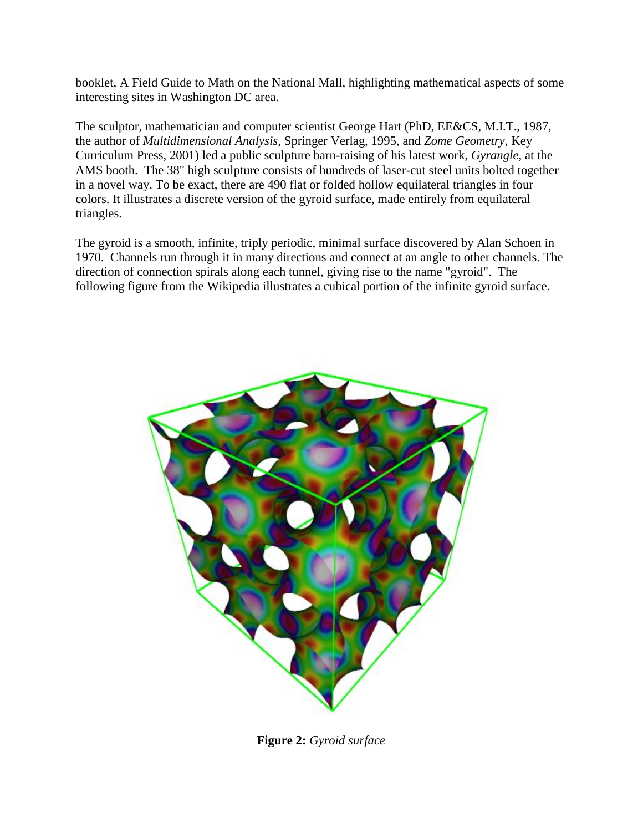booklet, A Field Guide to Math on the National Mall, highlighting mathematical aspects of some interesting sites in Washington DC area.

The sculptor, mathematician and computer scientist George Hart (PhD, EE&CS, M.I.T., 1987, the author of *[Multidimensional Analysis](http://www.georgehart.com/research/multanal.html)*, Springer Verlag, 1995, and *[Zome Geometry](http://www.georgehart.com/zomebook/zomebook.html)*, Key Curriculum Press, 2001) led a public sculpture barn-raising of his latest work, *Gyrangle*, at the AMS booth. The 38" high sculpture consists of hundreds of laser-cut steel units bolted together in a novel way. To be exact, there are 490 flat or folded hollow equilateral triangles in four colors. It illustrates a discrete version of the gyroid surface, made entirely from equilateral triangles.

The gyroid is a smooth, infinite, triply [periodic,](http://en.wikipedia.org/wiki/Frequency) [minimal surface](http://en.wikipedia.org/wiki/Minimal_surface) discovered by Alan Schoen in 1970. Channels run through it in many directions and connect at an angle to other channels. The direction of connection spirals along each tunnel, giving rise to the name "gyroid". The following figure from the Wikipedia illustrates a cubical portion of the infinite gyroid surface.



**Figure 2:** *[Gyroid surface](http://upload.wikimedia.org/wikipedia/commons/9/90/Gyroid_surface_with_Gaussian_curvature.png)*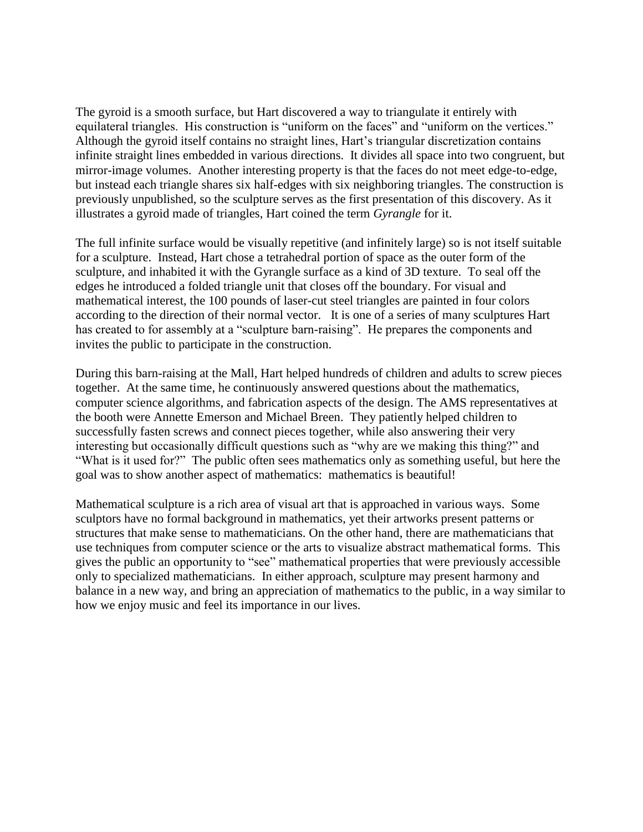The gyroid is a smooth surface, but Hart discovered a way to triangulate it entirely with equilateral triangles. His construction is "uniform on the faces" and "uniform on the vertices." Although the gyroid itself contains no straight lines, Hart's triangular discretization contains infinite straight lines embedded in various directions. It divides all space into two congruent, but mirror-image volumes. Another interesting property is that the faces do not meet edge-to-edge, but instead each triangle shares six half-edges with six neighboring triangles. The construction is previously unpublished, so the sculpture serves as the first presentation of this discovery. As it illustrates a gyroid made of triangles, Hart coined the term *Gyrangle* for it.

The full infinite surface would be visually repetitive (and infinitely large) so is not itself suitable for a sculpture. Instead, Hart chose a tetrahedral portion of space as the outer form of the sculpture, and inhabited it with the Gyrangle surface as a kind of 3D texture. To seal off the edges he introduced a folded triangle unit that closes off the boundary. For visual and mathematical interest, the 100 pounds of laser-cut steel triangles are painted in four colors according to the direction of their normal vector. It is one of a series of many sculptures Hart has created to for assembly at a "sculpture barn-raising". He prepares the components and invites the public to participate in the construction.

During this barn-raising at the Mall, Hart helped hundreds of children and adults to screw pieces together. At the same time, he continuously answered questions about the mathematics, computer science algorithms, and fabrication aspects of the design. The AMS representatives at the booth were Annette Emerson and Michael Breen. They patiently helped children to successfully fasten screws and connect pieces together, while also answering their very interesting but occasionally difficult questions such as "why are we making this thing?" and "What is it used for?" The public often sees mathematics only as something useful, but here the goal was to show another aspect of mathematics: mathematics is beautiful!

Mathematical sculpture is a rich area of visual art that is approached in various ways. Some sculptors have no formal background in mathematics, yet their artworks present patterns or structures that make sense to mathematicians. On the other hand, there are mathematicians that use techniques from computer science or the arts to visualize abstract mathematical forms. This gives the public an opportunity to "see" mathematical properties that were previously accessible only to specialized mathematicians. In either approach, sculpture may present harmony and balance in a new way, and bring an appreciation of mathematics to the public, in a way similar to how we enjoy music and feel its importance in our lives.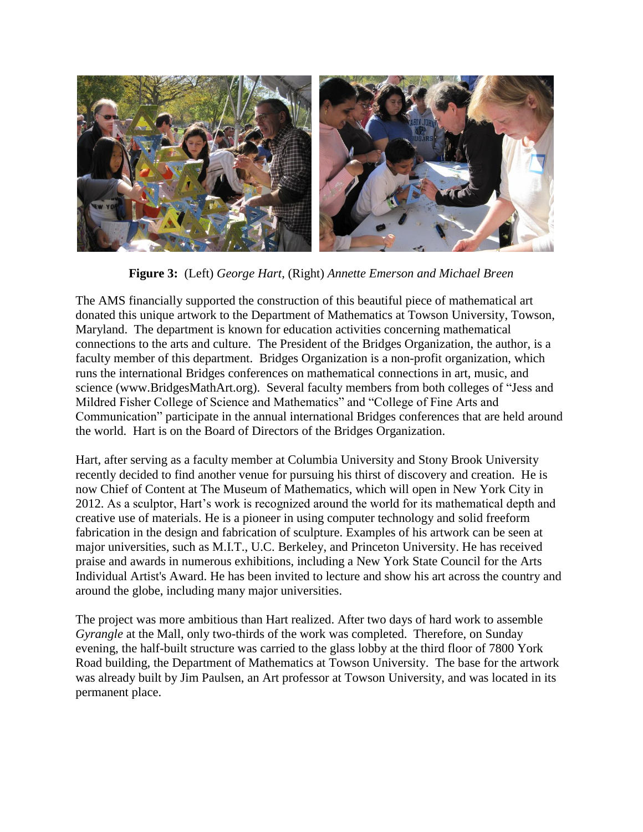

**Figure 3:** (Left) *George Hart*, (Right) *Annette Emerson and Michael Breen*

The AMS financially supported the construction of this beautiful piece of mathematical art donated this unique artwork to the Department of Mathematics at Towson University, Towson, Maryland. The department is known for education activities concerning mathematical connections to the arts and culture. The President of the Bridges Organization, the author, is a faculty member of this department. Bridges Organization is a non-profit organization, which runs the international Bridges conferences on mathematical connections in art, music, and science (www.BridgesMathArt.org). Several faculty members from both colleges of "Jessand Mildred Fisher College of Science and Mathematics" and "College of Fine Arts and Communication"participate in the annual international Bridges conferences that are held around the world. Hart is on the Board of Directors of the Bridges Organization.

Hart, after serving as a faculty member at Columbia University and Stony Brook University recently decided to find another venue for pursuing his thirst of discovery and creation. He is now Chief of Content at The Museum of Mathematics, which will open in New York City in 2012. As a sculptor, Hart's work is recognized around the world for its mathematical depth and creative use of materials. He is a pioneer in using computer technology and [solid freeform](http://www.georgehart.com/rp/rp.html)  [fabrication](http://www.georgehart.com/rp/rp.html) in the design and fabrication of sculpture. Examples of his artwork can be seen at major universities, such as M.I.T., U.C. Berkeley, and Princeton University. He has received praise and awards in numerous exhibitions, including a New York State Council for the Arts Individual Artist's Award. He has been invited to lecture and show his art across the country and around the globe, including many major universities.

The project was more ambitious than Hart realized. After two days of hard work to assemble *Gyrangle* at the Mall, only two-thirds of the work was completed. Therefore, on Sunday evening, the half-built structure was carried to the glass lobby at the third floor of 7800 York Road building, the Department of Mathematics at Towson University. The base for the artwork was already built by Jim Paulsen, an Art professor at Towson University, and was located in its permanent place.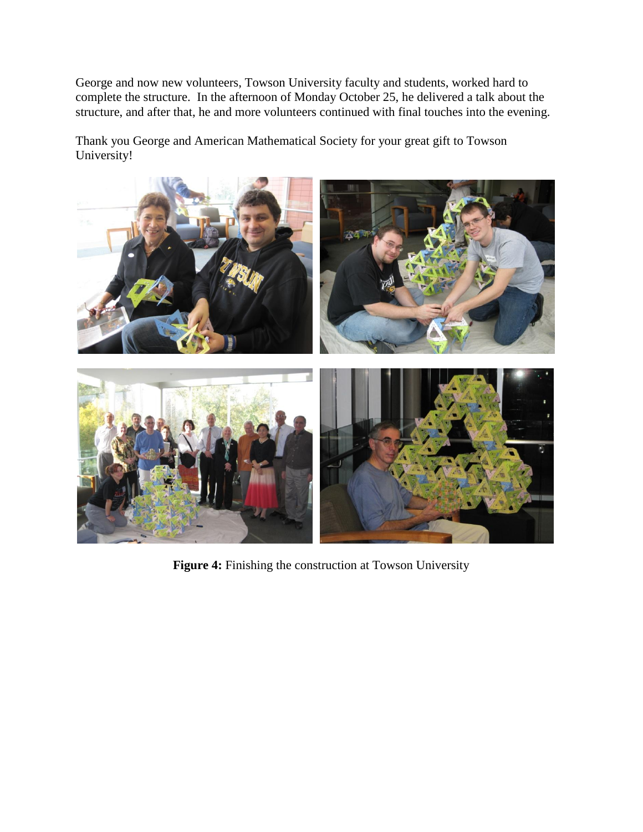George and now new volunteers, Towson University faculty and students, worked hard to complete the structure. In the afternoon of Monday October 25, he delivered a talk about the structure, and after that, he and more volunteers continued with final touches into the evening.

Thank you George and American Mathematical Society for your great gift to Towson University!



**Figure 4:** Finishing the construction at Towson University